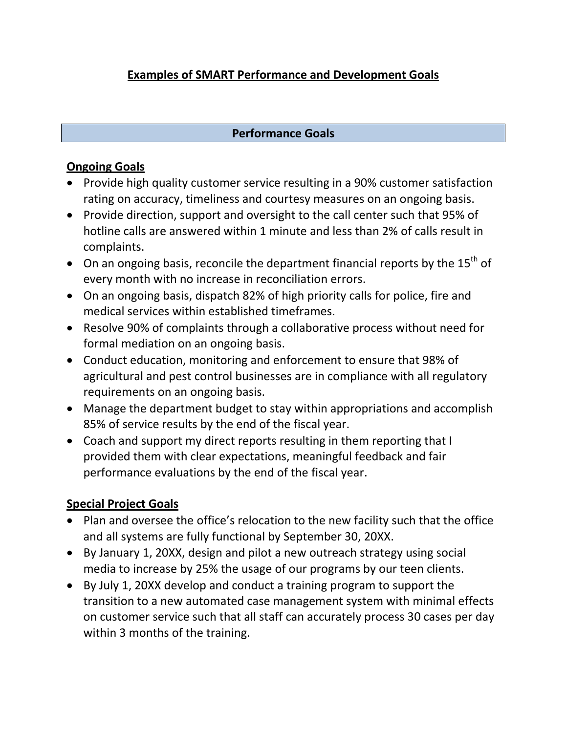# **Examples of SMART Performance and Development Goals**

#### **Performance Goals**

### **Ongoing Goals**

- Provide high quality customer service resulting in a 90% customer satisfaction rating on accuracy, timeliness and courtesy measures on an ongoing basis.
- Provide direction, support and oversight to the call center such that 95% of hotline calls are answered within 1 minute and less than 2% of calls result in complaints.
- On an ongoing basis, reconcile the department financial reports by the  $15<sup>th</sup>$  of every month with no increase in reconciliation errors.
- On an ongoing basis, dispatch 82% of high priority calls for police, fire and medical services within established timeframes.
- Resolve 90% of complaints through a collaborative process without need for formal mediation on an ongoing basis.
- Conduct education, monitoring and enforcement to ensure that 98% of agricultural and pest control businesses are in compliance with all regulatory requirements on an ongoing basis.
- Manage the department budget to stay within appropriations and accomplish 85% of service results by the end of the fiscal year.
- Coach and support my direct reports resulting in them reporting that I provided them with clear expectations, meaningful feedback and fair performance evaluations by the end of the fiscal year.

## **Special Project Goals**

- Plan and oversee the office's relocation to the new facility such that the office and all systems are fully functional by September 30, 20XX.
- By January 1, 20XX, design and pilot a new outreach strategy using social media to increase by 25% the usage of our programs by our teen clients.
- By July 1, 20XX develop and conduct a training program to support the transition to a new automated case management system with minimal effects on customer service such that all staff can accurately process 30 cases per day within 3 months of the training.